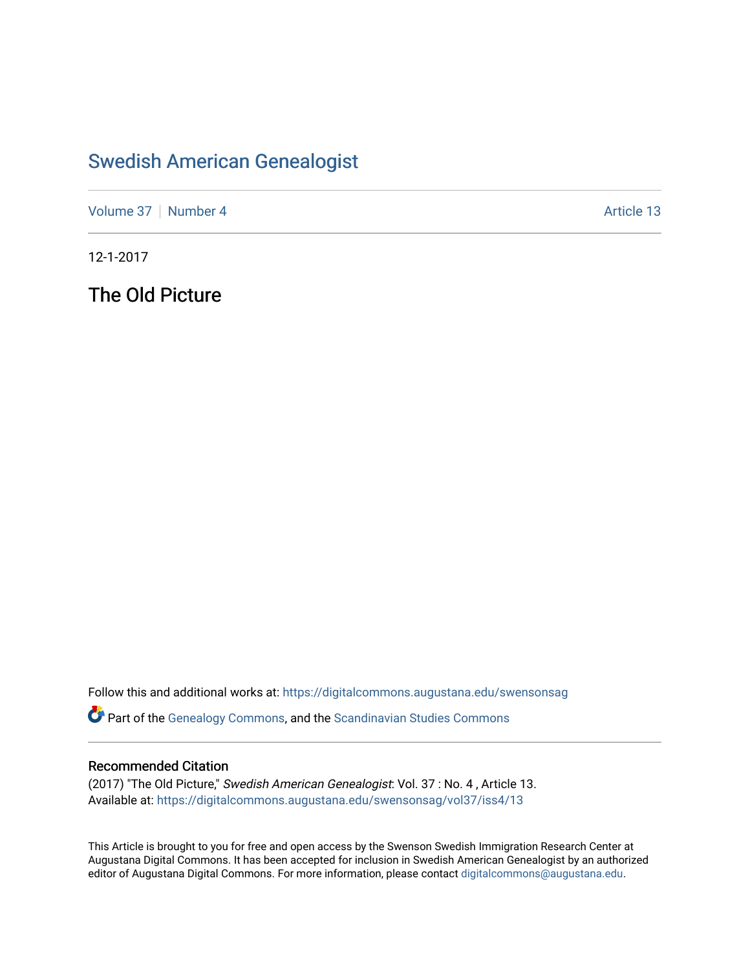## [Swedish American Genealogist](https://digitalcommons.augustana.edu/swensonsag)

[Volume 37](https://digitalcommons.augustana.edu/swensonsag/vol37) | [Number 4](https://digitalcommons.augustana.edu/swensonsag/vol37/iss4) Article 13

12-1-2017

The Old Picture

Follow this and additional works at: [https://digitalcommons.augustana.edu/swensonsag](https://digitalcommons.augustana.edu/swensonsag?utm_source=digitalcommons.augustana.edu%2Fswensonsag%2Fvol37%2Fiss4%2F13&utm_medium=PDF&utm_campaign=PDFCoverPages) 

**Part of the [Genealogy Commons,](http://network.bepress.com/hgg/discipline/1342?utm_source=digitalcommons.augustana.edu%2Fswensonsag%2Fvol37%2Fiss4%2F13&utm_medium=PDF&utm_campaign=PDFCoverPages) and the [Scandinavian Studies Commons](http://network.bepress.com/hgg/discipline/485?utm_source=digitalcommons.augustana.edu%2Fswensonsag%2Fvol37%2Fiss4%2F13&utm_medium=PDF&utm_campaign=PDFCoverPages)** 

## Recommended Citation

(2017) "The Old Picture," Swedish American Genealogist: Vol. 37 : No. 4 , Article 13. Available at: [https://digitalcommons.augustana.edu/swensonsag/vol37/iss4/13](https://digitalcommons.augustana.edu/swensonsag/vol37/iss4/13?utm_source=digitalcommons.augustana.edu%2Fswensonsag%2Fvol37%2Fiss4%2F13&utm_medium=PDF&utm_campaign=PDFCoverPages) 

This Article is brought to you for free and open access by the Swenson Swedish Immigration Research Center at Augustana Digital Commons. It has been accepted for inclusion in Swedish American Genealogist by an authorized editor of Augustana Digital Commons. For more information, please contact [digitalcommons@augustana.edu.](mailto:digitalcommons@augustana.edu)